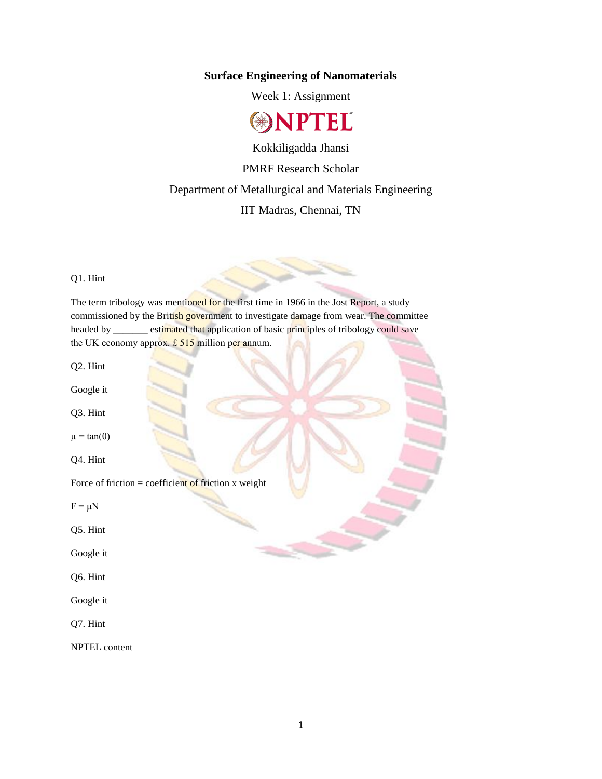## **Surface Engineering of Nanomaterials**

Week 1: Assignment



Kokkiligadda Jhansi PMRF Research Scholar Department of Metallurgical and Materials Engineering IIT Madras, Chennai, TN

Q1. Hint

The term tribology was mentioned for the first time in 1966 in the Jost Report, a study commissioned by the British government to investigate damage from wear. The committee headed by \_\_\_\_\_\_ estimated that application of basic principles of tribology could save the UK economy approx.  $£ 515$  million per annum.

Q2. Hint

Google it

Q3. Hint

 $\mu = \tan(\theta)$ 

Q4. Hint

Force of friction = coefficient of friction  $x$  weight

 $F = \mu N$ 

Q5. Hint

Google it

Q6. Hint

Google it

Q7. Hint

NPTEL content